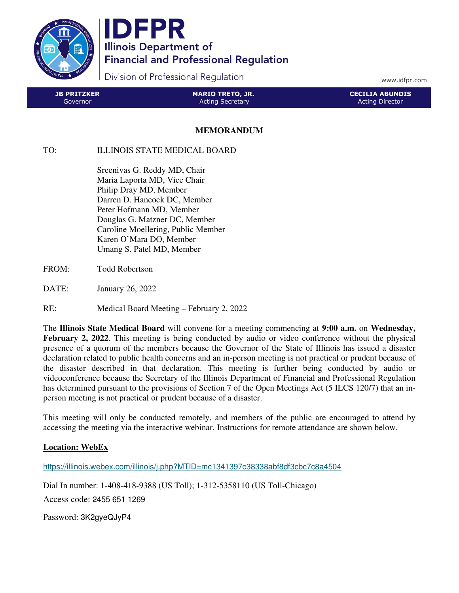

IDFPR **Illinois Department of Financial and Professional Regulation** 

Division of Professional Regulation

www.idfpr.com

| <b>SIB PRITZKER</b> | MARIO TRETO, JR.        | LCECILIA ABUNDIS ' |
|---------------------|-------------------------|--------------------|
| Governor            | <b>Acting Secretary</b> | Acting Director    |

## **MEMORANDUM**

## TO: ILLINOIS STATE MEDICAL BOARD

 Sreenivas G. Reddy MD, Chair Maria Laporta MD, Vice Chair Philip Dray MD, Member Darren D. Hancock DC, Member Peter Hofmann MD, Member Douglas G. Matzner DC, Member Caroline Moellering, Public Member Karen O'Mara DO, Member Umang S. Patel MD, Member

- FROM: Todd Robertson
- DATE: January 26, 2022
- RE: Medical Board Meeting February 2, 2022

The **Illinois State Medical Board** will convene for a meeting commencing at **9:00 a.m.** on **Wednesday, February 2, 2022.** This meeting is being conducted by audio or video conference without the physical presence of a quorum of the members because the Governor of the State of Illinois has issued a disaster declaration related to public health concerns and an in-person meeting is not practical or prudent because of the disaster described in that declaration. This meeting is further being conducted by audio or videoconference because the Secretary of the Illinois Department of Financial and Professional Regulation has determined pursuant to the provisions of Section 7 of the Open Meetings Act (5 ILCS 120/7) that an inperson meeting is not practical or prudent because of a disaster.

This meeting will only be conducted remotely, and members of the public are encouraged to attend by accessing the meeting via the interactive webinar. Instructions for remote attendance are shown below.

## **Location: WebEx**

https://illinois.webex.com/illinois/j.php?MTID=mc1341397c38338abf8df3cbc7c8a4504

Dial In number: 1-408-418-9388 (US Toll); 1-312-5358110 (US Toll-Chicago)

Access code: 2455 651 1269

Password: 3K2gyeQJyP4